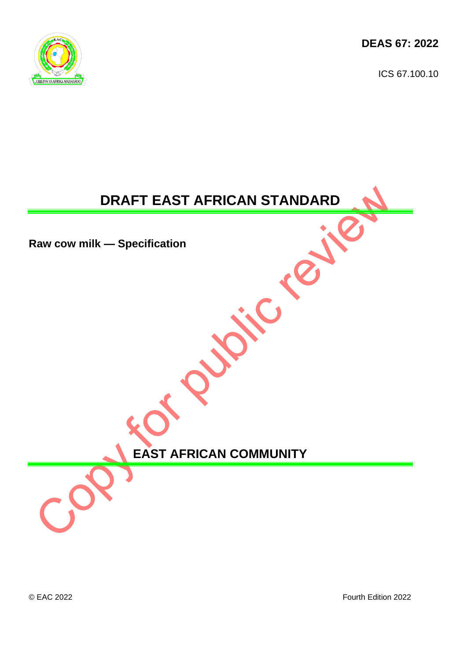**DEAS 67: 2022**

ICS 67.100.10



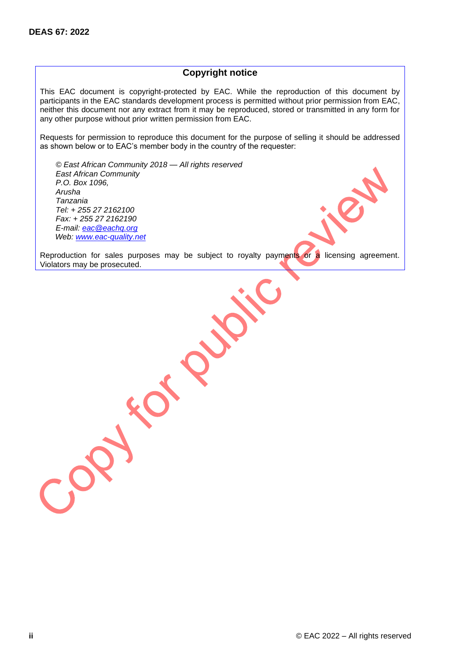#### **Copyright notice**

This EAC document is copyright-protected by EAC. While the reproduction of this document by participants in the EAC standards development process is permitted without prior permission from EAC, neither this document nor any extract from it may be reproduced, stored or transmitted in any form for any other purpose without prior written permission from EAC.

Requests for permission to reproduce this document for the purpose of selling it should be addressed as shown below or to EAC's member body in the country of the requester:

*© East African Community 2018 — All rights reserved East African Community P.O. Box 1096, Arusha Tanzania Tel: + 255 27 2162100 Fax: + 255 27 2162190 E-mail: [eac@eachq.org](mailto:eac@eachq.org) Web: [www.eac-quality.net](http://www.eac-quality.net/)*

AP

Reproduction for sales purposes may be subject to royalty payments or a licensing agreement. Violators may be prosecuted.

 $C_{\mathcal{O}}$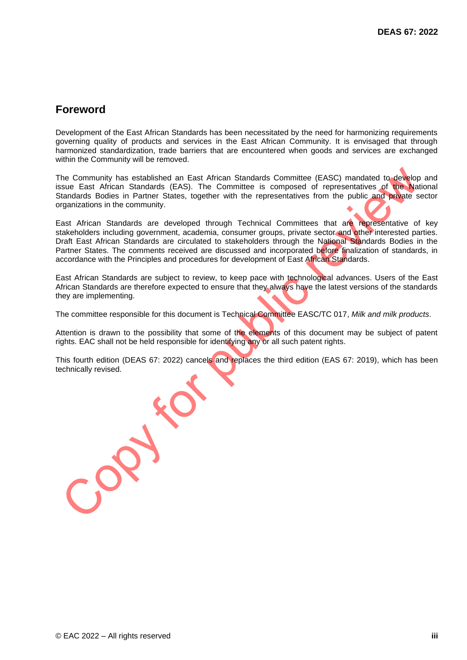## **Foreword**

Development of the East African Standards has been necessitated by the need for harmonizing requirements governing quality of products and services in the East African Community. It is envisaged that through harmonized standardization, trade barriers that are encountered when goods and services are exchanged within the Community will be removed.

The Community has established an East African Standards Committee (EASC) mandated to develop and issue East African Standards (EAS). The Committee is composed of representatives of the National Standards Bodies in Partner States, together with the representatives from the public and private sector organizations in the community.

East African Standards are developed through Technical Committees that are representative of key stakeholders including government, academia, consumer groups, private sector and other interested parties. Draft East African Standards are circulated to stakeholders through the National Standards Bodies in the Partner States. The comments received are discussed and incorporated before finalization of standards, in accordance with the Principles and procedures for development of East African Standards.

East African Standards are subject to review, to keep pace with technological advances. Users of the East African Standards are therefore expected to ensure that they always have the latest versions of the standards they are implementing.

The committee responsible for this document is Technical Committee EASC/TC 017, *Milk and milk products*.

Attention is drawn to the possibility that some of the elements of this document may be subject of patent rights. EAC shall not be held responsible for identifying any or all such patent rights.

This fourth edition (DEAS 67: 2022) cancels and replaces the third edition (EAS 67: 2019), which has been technically revised.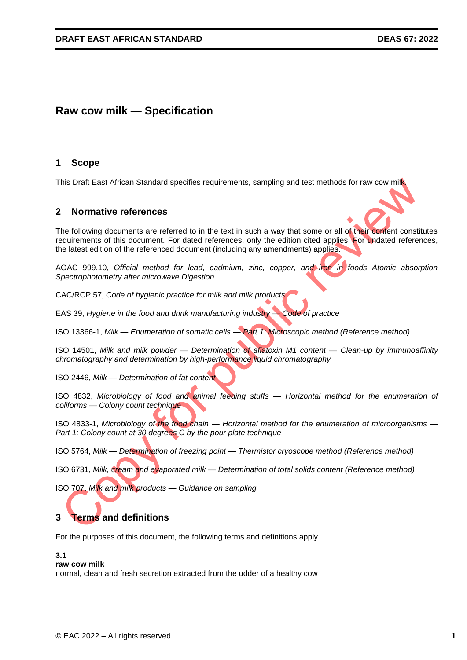## **Raw cow milk — Specification**

#### **1 Scope**

This Draft East African Standard specifies requirements, sampling and test methods for raw cow milk.

#### **2 Normative references**

The following documents are referred to in the text in such a way that some or all of their content constitutes requirements of this document. For dated references, only the edition cited applies. For undated references, the latest edition of the referenced document (including any amendments) applies.

AOAC 999.10, *Official method for lead, cadmium, zinc, copper, and iron in foods Atomic absorption Spectrophotometry after microwave Digestion*

CAC/RCP 57, *Code of hygienic practice for milk and milk products*

EAS 39, *Hygiene in the food and drink manufacturing industry — Code of practice*

ISO 13366-1, *Milk — Enumeration of somatic cells — Part 1: Microscopic method (Reference method)*

ISO 14501, *Milk and milk powder — Determination of aflatoxin M1 content — Clean-up by immunoaffinity chromatography and determination by high-performance liquid chromatography*

ISO 2446, *Milk — Determination of fat content*

ISO 4832, *Microbiology of food and animal feeding stuffs — Horizontal method for the enumeration of coliforms — Colony count technique*

ISO 4833-1, *Microbiology of the food chain — Horizontal method for the enumeration of microorganisms — Part 1: Colony count at 30 degrees C by the pour plate technique*

ISO 5764, *Milk — Determination of freezing point — Thermistor cryoscope method (Reference method)*

ISO 6731, *Milk, cream and evaporated milk — Determination of total solids content (Reference method)*

ISO 707, *Milk and milk products — Guidance on sampling*

## **3 Terms and definitions**

For the purposes of this document, the following terms and definitions apply.

#### **3.1**

#### **raw cow milk**

normal, clean and fresh secretion extracted from the udder of a healthy cow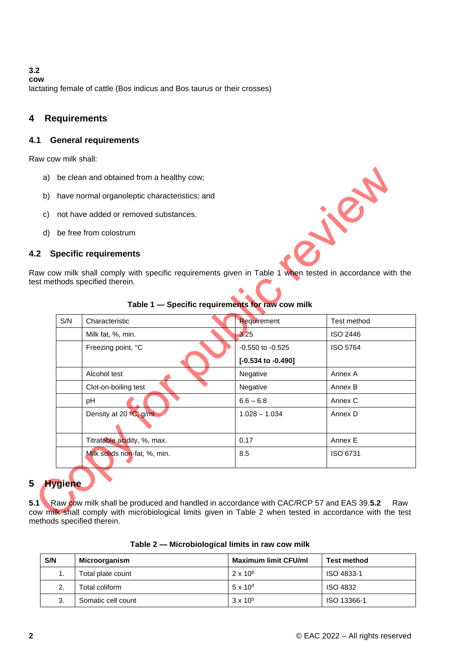**3.2 cow** lactating female of cattle (Bos indicus and Bos taurus or their crosses)

## **4 Requirements**

#### **4.1 General requirements**

Raw cow milk shall:

- a) be clean and obtained from a healthy cow;
- b) have normal organoleptic characteristics; and
- c) not have added or removed substances.
- d) be free from colostrum

#### **4.2 Specific requirements**

Raw cow milk shall comply with specific requirements given in Table 1 when tested in accordance with the test methods specified therein.

| S/N | Characteristic               | Requirement          | Test method |
|-----|------------------------------|----------------------|-------------|
|     | Milk fat, %, min.            | 3.25                 | ISO 2446    |
|     | Freezing point, °C           | $-0.550$ to $-0.525$ | ISO 5764    |
|     |                              | [-0.534 to -0.490]   |             |
|     | Alcohol test                 | Negative             | Annex A     |
|     | Clot-on-boiling test         | Negative             | Annex B     |
|     | pH                           | $6.6 - 6.8$          | Annex C     |
|     | Density at 20 °C, g/ml       | $1.028 - 1.034$      | Annex D     |
|     |                              |                      |             |
|     | Titratable acidity, %, max.  | 0.17                 | Annex E     |
|     | Milk solids non-fat, %, min. | 8.5                  | ISO 6731    |
|     |                              |                      |             |

#### **Table 1 — Specific requirements for raw cow milk**

## **5 Hygiene**

**5.1** Raw cow milk shall be produced and handled in accordance with CAC/RCP 57 and EAS 39.**5.2** Raw cow milk shall comply with microbiological limits given in Table 2 when tested in accordance with the test methods specified therein.

| Table 2 – Microbiological limits in raw cow milk |
|--------------------------------------------------|
|--------------------------------------------------|

| S/N | Microorganism      | <b>Maximum limit CFU/ml</b> | <b>Test method</b> |
|-----|--------------------|-----------------------------|--------------------|
| . . | Total plate count  | $2 \times 10^6$             | ISO 4833-1         |
|     | Total coliform     | $5 \times 10^{4}$           | <b>ISO 4832</b>    |
| 3.  | Somatic cell count | $3 \times 10^{5}$           | ISO 13366-1        |

1812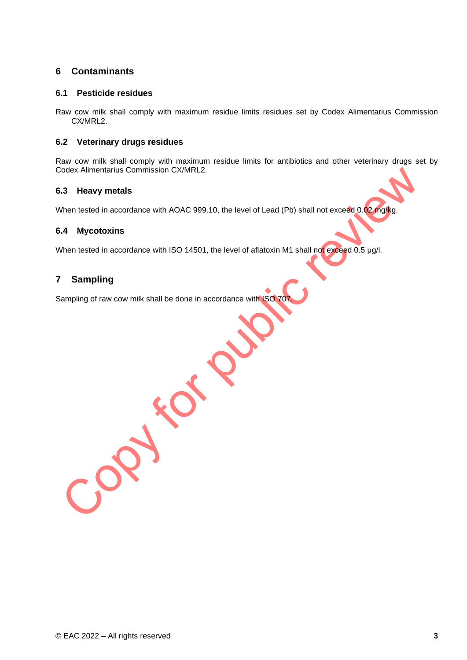## **6 Contaminants**

#### **6.1 Pesticide residues**

Raw cow milk shall comply with maximum residue limits residues set by Codex Alimentarius Commission CX/MRL2.

#### **6.2 Veterinary drugs residues**

Raw cow milk shall comply with maximum residue limits for antibiotics and other veterinary drugs set by Codex Alimentarius Commission CX/MRL2.

#### **6.3 Heavy metals**

When tested in accordance with AOAC 999.10, the level of Lead (Pb) shall not exceed 0.02 mg/kg.

#### **6.4 Mycotoxins**

When tested in accordance with ISO 14501, the level of aflatoxin M1 shall not exceed 0.5 μg/l.

#### **7 Sampling**

Sampling of raw cow milk shall be done in accordance with ISO 707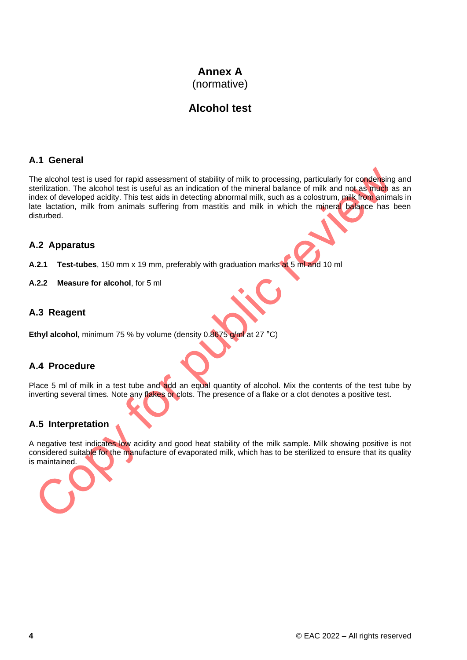## **Annex A** (normative)

## **Alcohol test**

#### **A.1 General**

The alcohol test is used for rapid assessment of stability of milk to processing, particularly for condensing and sterilization. The alcohol test is useful as an indication of the mineral balance of milk and not as much as an index of developed acidity. This test aids in detecting abnormal milk, such as a colostrum, milk from animals in late lactation, milk from animals suffering from mastitis and milk in which the mineral balance has been disturbed.

#### **A.2 Apparatus**

**A.2.1 Test-tubes**, 150 mm x 19 mm, preferably with graduation marks at 5 ml and 10 ml

**A.2.2 Measure for alcohol**, for 5 ml

## **A.3 Reagent**

**Ethyl alcohol,** minimum 75 % by volume (density 0.8675 g/ml at 27 °C)

#### **A.4 Procedure**

Place 5 ml of milk in a test tube and add an equal quantity of alcohol. Mix the contents of the test tube by inverting several times. Note any flakes or clots. The presence of a flake or a clot denotes a positive test.

## **A.5 Interpretation**

A negative test indicates low acidity and good heat stability of the milk sample. Milk showing positive is not considered suitable for the manufacture of evaporated milk, which has to be sterilized to ensure that its quality is maintained.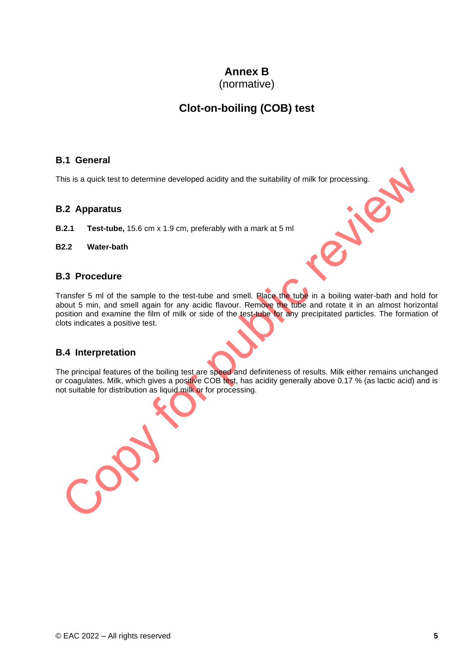# **Annex B**

(normative)

# **Clot-on-boiling (COB) test**

#### **B.1 General**

This is a quick test to determine developed acidity and the suitability of milk for processing.

## **B.2 Apparatus**

- **B.2.1 Test-tube,** 15.6 cm x 1.9 cm, preferably with a mark at 5 ml
- **B2.2 Water-bath**

## **B.3 Procedure**

Transfer 5 ml of the sample to the test-tube and smell. Place the tube in a boiling water-bath and hold for about 5 min, and smell again for any acidic flavour. Remove the tube and rotate it in an almost horizontal position and examine the film of milk or side of the test-tube for any precipitated particles. The formation of clots indicates a positive test.

Jie

## **B.4 Interpretation**

 $\mathcal{C}^{\bullet}$ 

The principal features of the boiling test are speed and definiteness of results. Milk either remains unchanged or coagulates. Milk, which gives a positive COB test, has acidity generally above 0.17 % (as lactic acid) and is not suitable for distribution as liquid milk or for processing.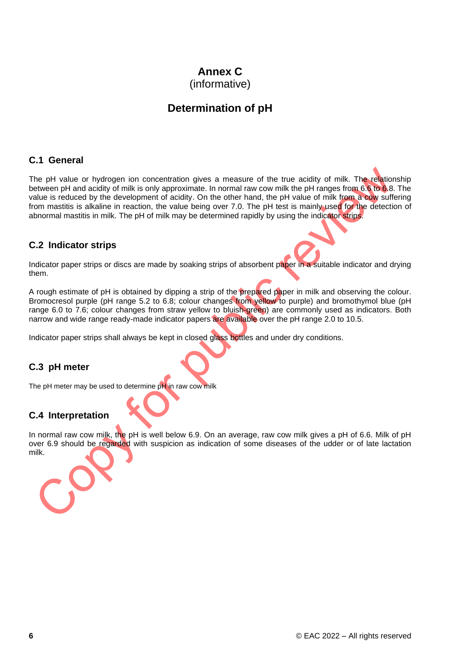# **Annex C**

(informative)

# **Determination of pH**

## **C.1 General**

The pH value or hydrogen ion concentration gives a measure of the true acidity of milk. The relationship between pH and acidity of milk is only approximate. In normal raw cow milk the pH ranges from 6.6 to 6.8. The value is reduced by the development of acidity. On the other hand, the pH value of milk from a cow suffering from mastitis is alkaline in reaction, the value being over 7.0. The pH test is mainly used for the detection of abnormal mastitis in milk. The pH of milk may be determined rapidly by using the indicator strips.

## **C.2 Indicator strips**

Indicator paper strips or discs are made by soaking strips of absorbent paper in a suitable indicator and drying them.

A rough estimate of pH is obtained by dipping a strip of the prepared paper in milk and observing the colour. Bromocresol purple (pH range 5.2 to 6.8; colour changes from yellow to purple) and bromothymol blue (pH range 6.0 to 7.6; colour changes from straw yellow to bluish-green) are commonly used as indicators. Both narrow and wide range ready-made indicator papers are available over the pH range 2.0 to 10.5.

Indicator paper strips shall always be kept in closed glass bottles and under dry conditions.

## **C.3 pH meter**

The pH meter may be used to determine pH in raw cow milk

## **C.4 Interpretation**

In normal raw cow milk, the pH is well below 6.9. On an average, raw cow milk gives a pH of 6.6. Milk of pH over 6.9 should be regarded with suspicion as indication of some diseases of the udder or of late lactation milk.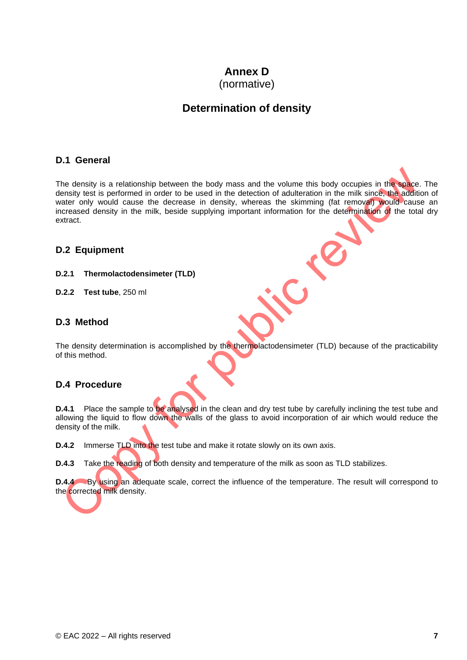# **Annex D**

(normative)

# **Determination of density**

#### **D.1 General**

The density is a relationship between the body mass and the volume this body occupies in the space. The density test is performed in order to be used in the detection of adulteration in the milk since, the addition of water only would cause the decrease in density, whereas the skimming (fat removal) would cause an increased density in the milk, beside supplying important information for the determination of the total dry extract.

## **D.2 Equipment**

**D.2.1 Thermolactodensimeter (TLD)**

**D.2.2 Test tube**, 250 ml

## **D.3 Method**

The density determination is accomplished by the thermolactodensimeter (TLD) because of the practicability of this method.

## **D.4 Procedure**

**D.4.1** Place the sample to be analysed in the clean and dry test tube by carefully inclining the test tube and allowing the liquid to flow down the walls of the glass to avoid incorporation of air which would reduce the density of the milk.

**D.4.2** Immerse TLD into the test tube and make it rotate slowly on its own axis.

**D.4.3** Take the reading of both density and temperature of the milk as soon as TLD stabilizes.

**D.4.4** By using an adequate scale, correct the influence of the temperature. The result will correspond to the corrected milk density.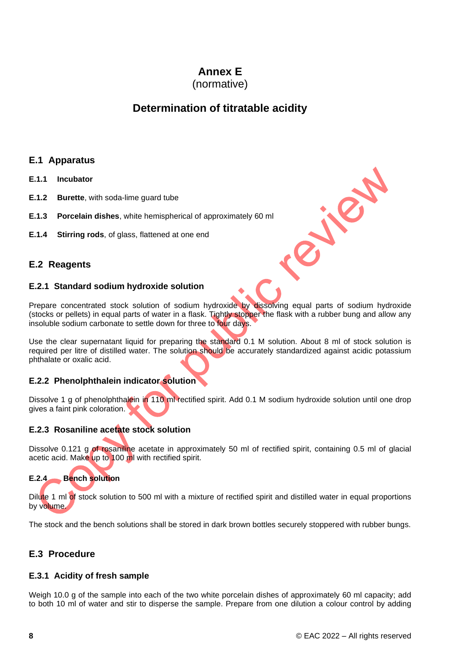# **Annex E**

(normative)

# **Determination of titratable acidity**

## **E.1 Apparatus**

- **E.1.1 Incubator**
- **E.1.2 Burette**, with soda-lime guard tube
- **E.1.3 Porcelain dishes**, white hemispherical of approximately 60 ml
- **E.1.4 Stirring rods**, of glass, flattened at one end

## **E.2 Reagents**

#### **E.2.1 Standard sodium hydroxide solution**

Prepare concentrated stock solution of sodium hydroxide by dissolving equal parts of sodium hydroxide (stocks or pellets) in equal parts of water in a flask. Tightly stopper the flask with a rubber bung and allow any insoluble sodium carbonate to settle down for three to four days.

Use the clear supernatant liquid for preparing the standard 0.1 M solution. About 8 ml of stock solution is required per litre of distilled water. The solution should be accurately standardized against acidic potassium phthalate or oxalic acid.

## **E.2.2 Phenolphthalein indicator solution**

Dissolve 1 g of phenolphthalein in 110 ml rectified spirit. Add 0.1 M sodium hydroxide solution until one drop gives a faint pink coloration.

#### **E.2.3 Rosaniline acetate stock solution**

Dissolve 0.121 g of rosaniline acetate in approximately 50 ml of rectified spirit, containing 0.5 ml of glacial acetic acid. Make up to 100 ml with rectified spirit.

# **E.2.4 Bench solution**

Dilute 1 ml of stock solution to 500 ml with a mixture of rectified spirit and distilled water in equal proportions by volume.

The stock and the bench solutions shall be stored in dark brown bottles securely stoppered with rubber bungs.

## **E.3 Procedure**

#### **E.3.1 Acidity of fresh sample**

Weigh 10.0 g of the sample into each of the two white porcelain dishes of approximately 60 ml capacity; add to both 10 ml of water and stir to disperse the sample. Prepare from one dilution a colour control by adding

Majalo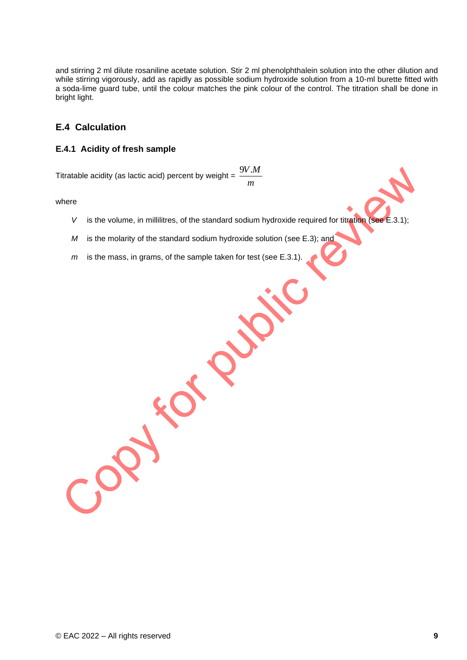and stirring 2 ml dilute rosaniline acetate solution. Stir 2 ml phenolphthalein solution into the other dilution and while stirring vigorously, add as rapidly as possible sodium hydroxide solution from a 10-ml burette fitted with a soda-lime guard tube, until the colour matches the pink colour of the control. The titration shall be done in bright light.

#### **E.4 Calculation**

#### **E.4.1 Acidity of fresh sample**

Titratable acidity (as lactic acid) percent by weight =  $\frac{2\pi}{m}$ 9*V*.*M*

where

- *V* is the volume, in millilitres, of the standard sodium hydroxide required for titration (see E.3.1);
- *M* is the molarity of the standard sodium hydroxide solution (see E.3); and

XP

RO.

*m* is the mass, in grams, of the sample taken for test (see E.3.1).

CO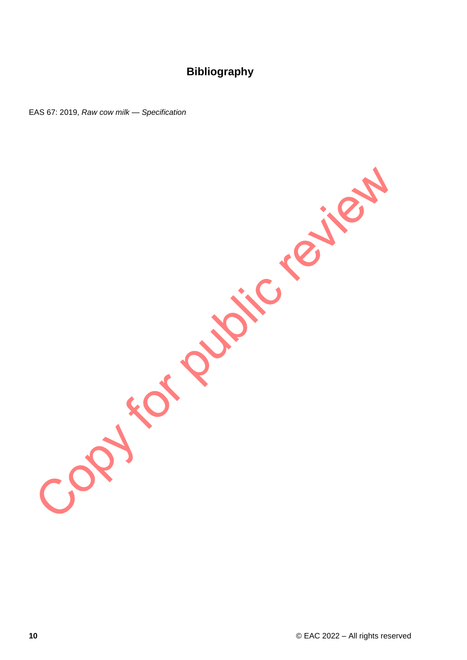# **Bibliography**

EAS RAW CONDITIONS AND ROW ROW MILES

**10** © EAC 2022 – All rights reserved